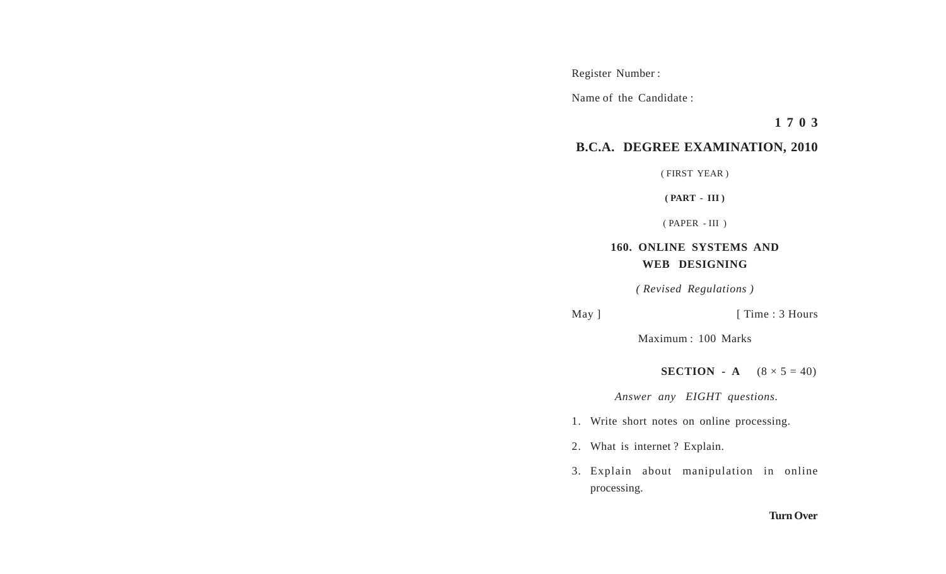Register Number :

Name of the Candidate :

**1 7 0 3**

## **B.C.A. DEGREE EXAMINATION, 2010**

( FIRST YEAR )

**( PART - III )**

( PAPER - III )

## **160. ONLINE SYSTEMS AND WEB DESIGNING**

*( Revised Regulations )*

May ] [ Time : 3 Hours

Maximum : 100 Marks

**SECTION** - **A**  $(8 \times 5 = 40)$ 

 *Answer any EIGHT questions.*

- 1. Write short notes on online processing.
- 2. What is internet ? Explain.
- 3. Explain about manipulation in online processing.

## **Turn Over**